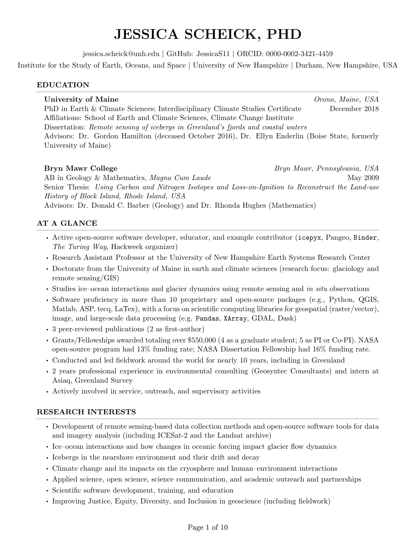# JESSICA SCHEICK, PHD

jessica.scheick@unh.edu | GitHub: JessicaS11 | ORCID: 0000-0002-3421-4459

Institute for the Study of Earth, Oceans, and Space | University of New Hampshire | Durham, New Hampshire, USA

#### EDUCATION

# University of Maine Charles Company of Maine, USA PhD in Earth & Climate Sciences; Interdisciplinary Climate Studies Certificate December 2018 Affiliations: School of Earth and Climate Sciences, Climate Change Institute Dissertation: Remote sensing of icebergs in Greenland's fjords and coastal waters Advisors: Dr. Gordon Hamilton (deceased October 2016), Dr. Ellyn Enderlin (Boise State, formerly University of Maine)

Bryn Mawr College **Bryn Mawr, Pennsylvania, USA** AB in Geology & Mathematics, *Magna Cum Laude* May 2009 Senior Thesis: Using Carbon and Nitrogen Isotopes and Loss-on-Ignition to Reconstruct the Land-use History of Block Island, Rhode Island, USA Advisors: Dr. Donald C. Barber (Geology) and Dr. Rhonda Hughes (Mathematics)

# AT A GLANCE

- Active open-source software developer, educator, and example contributor (icepyx, Pangeo, Binder, The Turing Way, Hackweek organizer)
- Research Assistant Professor at the University of New Hampshire Earth Systems Research Center
- Doctorate from the University of Maine in earth and climate sciences (research focus: glaciology and remote sensing/GIS)
- Studies ice–ocean interactions and glacier dynamics using remote sensing and in situ observations
- Software proficiency in more than 10 proprietary and open-source packages (e.g., Python, QGIS, Matlab, ASP, tecq, LaTex), with a focus on scientific computing libraries for geospatial (raster/vector), image, and large-scale data processing (e.g. Pandas, XArray, GDAL, Dask)
- 3 peer-reviewed publications (2 as first-author)
- Grants/Fellowships awarded totaling over \$550,000 (4 as a graduate student; 5 as PI or Co-PI). NASA open-source program had 13% funding rate; NASA Dissertation Fellowship had 16% funding rate.
- Conducted and led fieldwork around the world for nearly 10 years, including in Greenland
- 2 years professional experience in environmental consulting (Geosyntec Consultants) and intern at Asiaq, Greenland Survey
- Actively involved in service, outreach, and supervisory activities

### RESEARCH INTERESTS

- Development of remote sensing-based data collection methods and open-source software tools for data and imagery analysis (including ICESat-2 and the Landsat archive)
- Ice–ocean interactions and how changes in oceanic forcing impact glacier flow dynamics
- Icebergs in the nearshore environment and their drift and decay
- Climate change and its impacts on the cryosphere and human–environment interactions
- Applied science, open science, science communication, and academic outreach and partnerships
- Scientific software development, training, and education
- Improving Justice, Equity, Diversity, and Inclusion in geoscience (including fieldwork)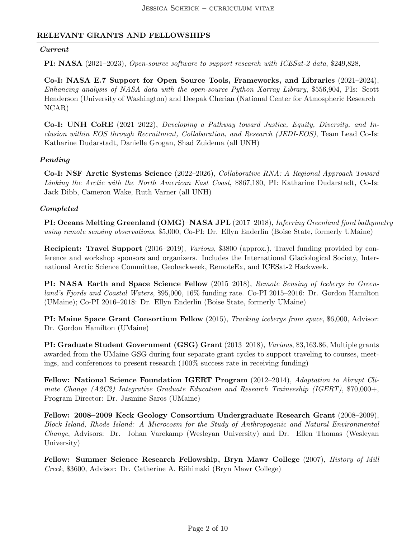### RELEVANT GRANTS AND FELLOWSHIPS

#### Current

PI: NASA (2021–2023), Open-source software to support research with ICESat-2 data, \$249,828,

Co-I: NASA E.7 Support for Open Source Tools, Frameworks, and Libraries (2021–2024), Enhancing analysis of NASA data with the open-source Python Xarray Library, \$556,904, PIs: Scott Henderson (University of Washington) and Deepak Cherian (National Center for Atmospheric Research– NCAR)

Co-I: UNH CoRE (2021–2022), Developing a Pathway toward Justice, Equity, Diversity, and Inclusion within EOS through Recruitment, Collaboration, and Research (JEDI-EOS), Team Lead Co-Is: Katharine Dudarstadt, Danielle Grogan, Shad Zuidema (all UNH)

#### Pending

Co-I: NSF Arctic Systems Science (2022–2026), Collaborative RNA: A Regional Approach Toward Linking the Arctic with the North American East Coast, \$867,180, PI: Katharine Dudarstadt, Co-Is: Jack Dibb, Cameron Wake, Ruth Varner (all UNH)

#### Completed

PI: Oceans Melting Greenland (OMG)–NASA JPL (2017–2018), Inferring Greenland fjord bathymetry using remote sensing observations, \$5,000, Co-PI: Dr. Ellyn Enderlin (Boise State, formerly UMaine)

Recipient: Travel Support (2016–2019), Various, \$3800 (approx.), Travel funding provided by conference and workshop sponsors and organizers. Includes the International Glaciological Society, International Arctic Science Committee, Geohackweek, RemoteEx, and ICESat-2 Hackweek.

PI: NASA Earth and Space Science Fellow (2015–2018), Remote Sensing of Icebergs in Greenland's Fjords and Coastal Waters, \$95,000, 16% funding rate. Co-PI 2015–2016: Dr. Gordon Hamilton (UMaine); Co-PI 2016–2018: Dr. Ellyn Enderlin (Boise State, formerly UMaine)

PI: Maine Space Grant Consortium Fellow (2015), Tracking icebergs from space, \$6,000, Advisor: Dr. Gordon Hamilton (UMaine)

PI: Graduate Student Government (GSG) Grant (2013–2018), Various, \$3,163.86, Multiple grants awarded from the UMaine GSG during four separate grant cycles to support traveling to courses, meetings, and conferences to present research (100% success rate in receiving funding)

Fellow: National Science Foundation IGERT Program (2012–2014), Adaptation to Abrupt Climate Change (A2C2) Integrative Graduate Education and Research Traineeship (IGERT), \$70,000+, Program Director: Dr. Jasmine Saros (UMaine)

Fellow: 2008–2009 Keck Geology Consortium Undergraduate Research Grant (2008–2009), Block Island, Rhode Island: A Microcosm for the Study of Anthropogenic and Natural Environmental Change, Advisors: Dr. Johan Varekamp (Wesleyan University) and Dr. Ellen Thomas (Wesleyan University)

Fellow: Summer Science Research Fellowship, Bryn Mawr College (2007), *History of Mill* Creek, \$3600, Advisor: Dr. Catherine A. Riihimaki (Bryn Mawr College)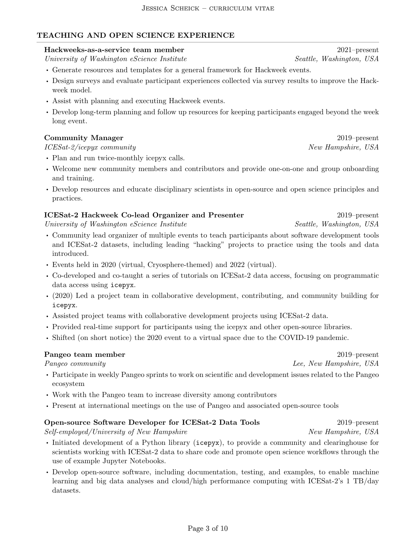# TEACHING AND OPEN SCIENCE EXPERIENCE

# Hackweeks-as-a-service team member 2021–present

University of Washington eScience Institute Seattle, Washington, USA

- Generate resources and templates for a general framework for Hackweek events.
- Design surveys and evaluate participant experiences collected via survey results to improve the Hackweek model.
- Assist with planning and executing Hackweek events.
- Develop long-term planning and follow up resources for keeping participants engaged beyond the week long event.

# Community Manager 2019–present

# ICESat-2/icepyx community  $New Hampshire, USA$

- Plan and run twice-monthly icepyx calls.
- Welcome new community members and contributors and provide one-on-one and group onboarding and training.
- Develop resources and educate disciplinary scientists in open-source and open science principles and practices.

# ICESat-2 Hackweek Co-lead Organizer and Presenter 2019–present

University of Washington eScience Institute Seattle, Washington, USA

- Community lead organizer of multiple events to teach participants about software development tools and ICESat-2 datasets, including leading "hacking" projects to practice using the tools and data introduced.
- Events held in 2020 (virtual, Cryosphere-themed) and 2022 (virtual).
- Co-developed and co-taught a series of tutorials on ICESat-2 data access, focusing on programmatic data access using icepyx.
- (2020) Led a project team in collaborative development, contributing, and community building for icepyx.
- Assisted project teams with collaborative development projects using ICESat-2 data.
- Provided real-time support for participants using the icepyx and other open-source libraries.
- Shifted (on short notice) the 2020 event to a virtual space due to the COVID-19 pandemic.

# Pangeo team member 2019–present

- Participate in weekly Pangeo sprints to work on scientific and development issues related to the Pangeo ecosystem
- Work with the Pangeo team to increase diversity among contributors
- Present at international meetings on the use of Pangeo and associated open-source tools

# Open-source Software Developer for ICESat-2 Data Tools 2019–present

Self-employed/University of New Hampshire New Hampshire New Hampshire, USA

- Initiated development of a Python library (icepyx), to provide a community and clearinghouse for scientists working with ICESat-2 data to share code and promote open science workflows through the use of example Jupyter Notebooks.
- Develop open-source software, including documentation, testing, and examples, to enable machine learning and big data analyses and cloud/high performance computing with ICESat-2's 1 TB/day datasets.

Pangeo community Lee, New Hampshire, USA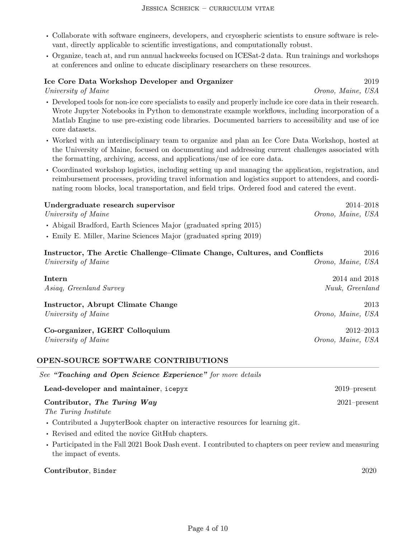#### JESSICA SCHEICK – CURRICULUM VITAE

- Collaborate with software engineers, developers, and cryospheric scientists to ensure software is relevant, directly applicable to scientific investigations, and computationally robust.
- Organize, teach at, and run annual hackweeks focused on ICESat-2 data. Run trainings and workshops at conferences and online to educate disciplinary researchers on these resources.

#### Ice Core Data Workshop Developer and Organizer 2019

University of Maine Contract Contract Contract Contract Orono, Maine, USA

- Developed tools for non-ice core specialists to easily and properly include ice core data in their research. Wrote Jupyter Notebooks in Python to demonstrate example workflows, including incorporation of a Matlab Engine to use pre-existing code libraries. Documented barriers to accessibility and use of ice core datasets.
- Worked with an interdisciplinary team to organize and plan an Ice Core Data Workshop, hosted at the University of Maine, focused on documenting and addressing current challenges associated with the formatting, archiving, access, and applications/use of ice core data.
- Coordinated workshop logistics, including setting up and managing the application, registration, and reimbursement processes, providing travel information and logistics support to attendees, and coordinating room blocks, local transportation, and field trips. Ordered food and catered the event.

| Undergraduate research supervisor                                | $2014 - 2018$     |
|------------------------------------------------------------------|-------------------|
| University of Maine                                              | Orono, Maine, USA |
| • Abigail Bradford, Earth Sciences Major (graduated spring 2015) |                   |
|                                                                  |                   |

• Emily E. Miller, Marine Sciences Major (graduated spring 2019)

| Instructor, The Arctic Challenge–Climate Change, Cultures, and Conflicts | 2016              |
|--------------------------------------------------------------------------|-------------------|
| University of Maine                                                      | Orono, Maine, USA |
| Intern                                                                   | 2014 and 2018     |
| Asiaq, Greenland Survey                                                  | Nuuk, Greenland   |
| Instructor, Abrupt Climate Change                                        | 2013              |
| University of Maine                                                      | Orono, Maine, USA |
| Co-organizer, IGERT Colloquium                                           | $2012 - 2013$     |
| University of Maine                                                      | Orono, Maine, USA |

#### OPEN-SOURCE SOFTWARE CONTRIBUTIONS

| See "Teaching and Open Science Experience" for more details |                 |
|-------------------------------------------------------------|-----------------|
| Lead-developer and maintainer, icepyx                       | $2019$ -present |
| Contributor, The Turing Way                                 | $2021$ -present |
| The Turing Institute                                        |                 |

- Contributed a JupyterBook chapter on interactive resources for learning git.
- Revised and edited the novice GitHub chapters.
- Participated in the Fall 2021 Book Dash event. I contributed to chapters on peer review and measuring the impact of events.

#### Contributor, Binder 2020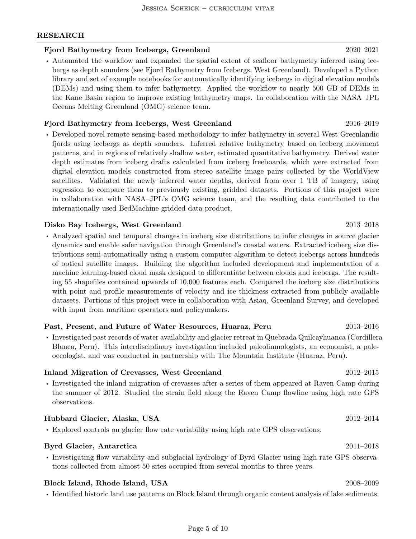### RESEARCH

#### Fjord Bathymetry from Icebergs, Greenland 2020–2021

• Automated the workflow and expanded the spatial extent of seafloor bathymetry inferred using icebergs as depth sounders (see Fjord Bathymetry from Icebergs, West Greenland). Developed a Python library and set of example notebooks for automatically identifying icebergs in digital elevation models (DEMs) and using them to infer bathymetry. Applied the workflow to nearly 500 GB of DEMs in the Kane Basin region to improve existing bathymetry maps. In collaboration with the NASA–JPL Oceans Melting Greenland (OMG) science team.

#### Fjord Bathymetry from Icebergs, West Greenland 2016–2019

• Developed novel remote sensing-based methodology to infer bathymetry in several West Greenlandic fjords using icebergs as depth sounders. Inferred relative bathymetry based on iceberg movement patterns, and in regions of relatively shallow water, estimated quantitative bathymetry. Derived water depth estimates from iceberg drafts calculated from iceberg freeboards, which were extracted from digital elevation models constructed from stereo satellite image pairs collected by the WorldView satellites. Validated the newly inferred water depths, derived from over 1 TB of imagery, using regression to compare them to previously existing, gridded datasets. Portions of this project were in collaboration with NASA–JPL's OMG science team, and the resulting data contributed to the internationally used BedMachine gridded data product.

#### Disko Bay Icebergs, West Greenland 2013–2018

• Analyzed spatial and temporal changes in iceberg size distributions to infer changes in source glacier dynamics and enable safer navigation through Greenland's coastal waters. Extracted iceberg size distributions semi-automatically using a custom computer algorithm to detect icebergs across hundreds of optical satellite images. Building the algorithm included development and implementation of a machine learning-based cloud mask designed to differentiate between clouds and icebergs. The resulting 55 shapefiles contained upwards of 10,000 features each. Compared the iceberg size distributions with point and profile measurements of velocity and ice thickness extracted from publicly available datasets. Portions of this project were in collaboration with Asiaq, Greenland Survey, and developed with input from maritime operators and policymakers.

#### Past, Present, and Future of Water Resources, Huaraz, Peru 2013–2016

• Investigated past records of water availability and glacier retreat in Quebrada Quilcayhuanca (Cordillera Blanca, Peru). This interdisciplinary investigation included paleolimnologists, an economist, a paleoecologist, and was conducted in partnership with The Mountain Institute (Huaraz, Peru).

#### Inland Migration of Crevasses, West Greenland 2012–2015

• Investigated the inland migration of crevasses after a series of them appeared at Raven Camp during the summer of 2012. Studied the strain field along the Raven Camp flowline using high rate GPS observations.

#### Hubbard Glacier, Alaska, USA 2012–2014

• Explored controls on glacier flow rate variability using high rate GPS observations.

#### Byrd Glacier, Antarctica 2011–2018

• Investigating flow variability and subglacial hydrology of Byrd Glacier using high rate GPS observations collected from almost 50 sites occupied from several months to three years.

### Block Island, Rhode Island, USA 2008–2009

• Identified historic land use patterns on Block Island through organic content analysis of lake sediments.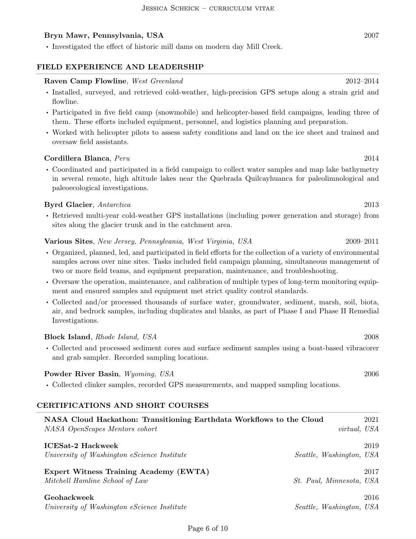#### Bryn Mawr, Pennsylvania, USA 2007

• Investigated the effect of historic mill dams on modern day Mill Creek.

#### FIELD EXPERIENCE AND LEADERSHIP

#### Raven Camp Flowline, West Greenland 2012–2014

- Installed, surveyed, and retrieved cold-weather, high-precision GPS setups along a strain grid and flowline.
- Participated in five field camp (snowmobile) and helicopter-based field campaigns, leading three of them. These efforts included equipment, personnel, and logistics planning and preparation.
- Worked with helicopter pilots to assess safety conditions and land on the ice sheet and trained and oversaw field assistants.

#### Cordillera Blanca, Peru 2014

• Coordinated and participated in a field campaign to collect water samples and map lake bathymetry in several remote, high altitude lakes near the Quebrada Quilcayhuanca for paleolimnological and paleoecological investigations.

#### Byrd Glacier, Antarctica 2013

• Retrieved multi-year cold-weather GPS installations (including power generation and storage) from sites along the glacier trunk and in the catchment area.

#### Various Sites, New Jersey, Pennsylvania, West Virginia, USA 2009–2011

- Organized, planned, led, and participated in field efforts for the collection of a variety of environmental samples across over nine sites. Tasks included field campaign planning, simultaneous management of two or more field teams, and equipment preparation, maintenance, and troubleshooting.
- Oversaw the operation, maintenance, and calibration of multiple types of long-term monitoring equipment and ensured samples and equipment met strict quality control standards.
- Collected and/or processed thousands of surface water, groundwater, sediment, marsh, soil, biota, air, and bedrock samples, including duplicates and blanks, as part of Phase I and Phase II Remedial Investigations.

#### Block Island, *Rhode Island*, *USA* 2008

• Collected and processed sediment cores and surface sediment samples using a boat-based vibracorer and grab sampler. Recorded sampling locations.

#### Powder River Basin, *Wyoming, USA* 2006

• Collected clinker samples, recorded GPS measurements, and mapped sampling locations.

#### CERTIFICATIONS AND SHORT COURSES

| NASA Cloud Hackathon: Transitioning Earthdata Workflows to the Cloud |                                 | 2021 |
|----------------------------------------------------------------------|---------------------------------|------|
| NASA OpenScapes Mentors cohort                                       | virtual, USA                    |      |
| <b>ICESat-2 Hackweek</b>                                             |                                 | 2019 |
|                                                                      |                                 |      |
| University of Washington eScience Institute                          | Seattle, Washington, USA        |      |
| Expert Witness Training Academy (EWTA)                               |                                 | 2017 |
| Mitchell Hamline School of Law                                       | <i>St. Paul, Minnesota, USA</i> |      |
| Geohackweek                                                          |                                 | 2016 |
| University of Washington eScience Institute                          | Seattle, Washington, USA        |      |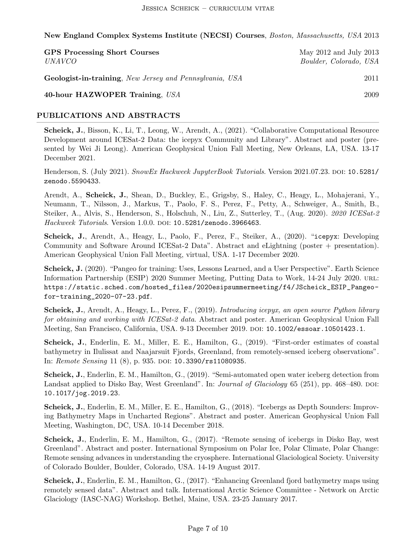New England Complex Systems Institute (NECSI) Courses, Boston, Massachusetts, USA 2013

| <b>GPS Processing Short Courses</b><br><i>UNAVCO</i>            | May $2012$ and July $2013$<br>Boulder, Colorado, USA |
|-----------------------------------------------------------------|------------------------------------------------------|
| <b>Geologist-in-training</b> , New Jersey and Pennsylvania, USA | 2011                                                 |
| 40-hour HAZWOPER Training, USA                                  | 2009                                                 |

#### PUBLICATIONS AND ABSTRACTS

Scheick, J., Bisson, K., Li, T., Leong, W., Arendt, A., (2021). "Collaborative Computational Resource Development around ICESat-2 Data: the icepyx Community and Library". Abstract and poster (presented by Wei Ji Leong). American Geophysical Union Fall Meeting, New Orleans, LA, USA. 13-17 December 2021.

Henderson, S. (July 2021). SnowEx Hackweek JupyterBook Tutorials. Version 2021.07.23. DOI: 10.5281/ zenodo.5590433.

Arendt, A., Scheick, J., Shean, D., Buckley, E., Grigsby, S., Haley, C., Heagy, L., Mohajerani, Y., Neumann, T., Nilsson, J., Markus, T., Paolo, F. S., Perez, F., Petty, A., Schweiger, A., Smith, B., Steiker, A., Alvis, S., Henderson, S., Holschuh, N., Liu, Z., Sutterley, T., (Aug. 2020). 2020 ICESat-2 Hackweek Tutorials. Version 1.0.0. DOI: 10.5281/zenodo.3966463.

Scheick, J., Arendt, A., Heagy, L., Paolo, F., Perez, F., Steiker, A., (2020). "icepyx: Developing Community and Software Around ICESat-2 Data". Abstract and eLightning (poster + presentation). American Geophysical Union Fall Meeting, virtual, USA. 1-17 December 2020.

Scheick, J. (2020). "Pangeo for training: Uses, Lessons Learned, and a User Perspective". Earth Science Information Partnership (ESIP) 2020 Summer Meeting, Putting Data to Work, 14-24 July 2020. url: https://static.sched.com/hosted\_files/2020esipsummermeeting/f4/JScheick\_ESIP\_Pangeofor-training\_2020-07-23.pdf.

Scheick, J., Arendt, A., Heagy, L., Perez, F., (2019). Introducing icepyx, an open source Python library for obtaining and working with ICESat-2 data. Abstract and poster. American Geophysical Union Fall Meeting, San Francisco, California, USA. 9-13 December 2019. doi: 10.1002/essoar.10501423.1.

Scheick, J., Enderlin, E. M., Miller, E. E., Hamilton, G., (2019). "First-order estimates of coastal bathymetry in Ilulissat and Naajarsuit Fjords, Greenland, from remotely-sensed iceberg observations". In: Remote Sensing 11  $(8)$ , p. 935. doi: 10.3390/rs11080935.

Scheick, J., Enderlin, E. M., Hamilton, G., (2019). "Semi-automated open water iceberg detection from Landsat applied to Disko Bay, West Greenland". In: *Journal of Glaciology* 65 (251), pp. 468–480. DOI: 10.1017/jog.2019.23.

Scheick, J., Enderlin, E. M., Miller, E. E., Hamilton, G., (2018). "Icebergs as Depth Sounders: Improving Bathymetry Maps in Uncharted Regions". Abstract and poster. American Geophysical Union Fall Meeting, Washington, DC, USA. 10-14 December 2018.

Scheick, J., Enderlin, E. M., Hamilton, G., (2017). "Remote sensing of icebergs in Disko Bay, west Greenland". Abstract and poster. International Symposium on Polar Ice, Polar Climate, Polar Change: Remote sensing advances in understanding the cryosphere. International Glaciological Society. University of Colorado Boulder, Boulder, Colorado, USA. 14-19 August 2017.

Scheick, J., Enderlin, E. M., Hamilton, G., (2017). "Enhancing Greenland fjord bathymetry maps using remotely sensed data". Abstract and talk. International Arctic Science Committee - Network on Arctic Glaciology (IASC-NAG) Workshop. Bethel, Maine, USA. 23-25 January 2017.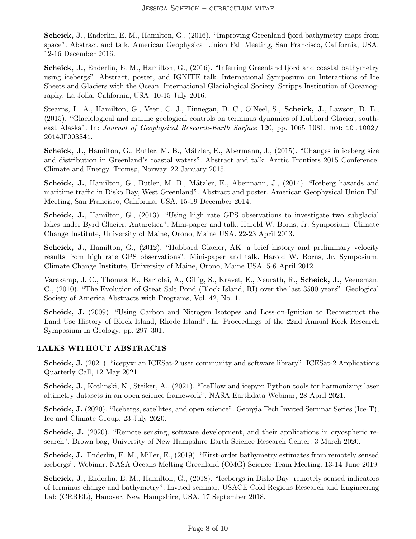Scheick, J., Enderlin, E. M., Hamilton, G., (2016). "Improving Greenland fjord bathymetry maps from space". Abstract and talk. American Geophysical Union Fall Meeting, San Francisco, California, USA. 12-16 December 2016.

Scheick, J., Enderlin, E. M., Hamilton, G., (2016). "Inferring Greenland fjord and coastal bathymetry using icebergs". Abstract, poster, and IGNITE talk. International Symposium on Interactions of Ice Sheets and Glaciers with the Ocean. International Glaciological Society. Scripps Institution of Oceanography, La Jolla, California, USA. 10-15 July 2016.

Stearns, L. A., Hamilton, G., Veen, C. J., Finnegan, D. C., O'Neel, S., Scheick, J., Lawson, D. E., (2015). "Glaciological and marine geological controls on terminus dynamics of Hubbard Glacier, southeast Alaska". In: Journal of Geophysical Research-Earth Surface 120, pp. 1065–1081. pol: 10.1002/ 2014JF003341.

Scheick, J., Hamilton, G., Butler, M. B., Mätzler, E., Abermann, J., (2015). "Changes in iceberg size and distribution in Greenland's coastal waters". Abstract and talk. Arctic Frontiers 2015 Conference: Climate and Energy. Tromsø, Norway. 22 January 2015.

Scheick, J., Hamilton, G., Butler, M. B., Mätzler, E., Abermann, J., (2014). "Iceberg hazards and maritime traffic in Disko Bay, West Greenland". Abstract and poster. American Geophysical Union Fall Meeting, San Francisco, California, USA. 15-19 December 2014.

Scheick, J., Hamilton, G., (2013). "Using high rate GPS observations to investigate two subglacial lakes under Byrd Glacier, Antarctica". Mini-paper and talk. Harold W. Borns, Jr. Symposium. Climate Change Institute, University of Maine, Orono, Maine USA. 22-23 April 2013.

Scheick, J., Hamilton, G., (2012). "Hubbard Glacier, AK: a brief history and preliminary velocity results from high rate GPS observations". Mini-paper and talk. Harold W. Borns, Jr. Symposium. Climate Change Institute, University of Maine, Orono, Maine USA. 5-6 April 2012.

Varekamp, J. C., Thomas, E., Bartolai, A., Gillig, S., Kravet, E., Neurath, R., Scheick, J., Veeneman, C., (2010). "The Evolution of Great Salt Pond (Block Island, RI) over the last 3500 years". Geological Society of America Abstracts with Programs, Vol. 42, No. 1.

Scheick, J. (2009). "Using Carbon and Nitrogen Isotopes and Loss-on-Ignition to Reconstruct the Land Use History of Block Island, Rhode Island". In: Proceedings of the 22nd Annual Keck Research Symposium in Geology, pp. 297–301.

### TALKS WITHOUT ABSTRACTS

Scheick, J. (2021). "icepyx: an ICESat-2 user community and software library". ICESat-2 Applications Quarterly Call, 12 May 2021.

Scheick, J., Kotlinski, N., Steiker, A., (2021). "IceFlow and icepyx: Python tools for harmonizing laser altimetry datasets in an open science framework". NASA Earthdata Webinar, 28 April 2021.

Scheick, J. (2020). "Icebergs, satellites, and open science". Georgia Tech Invited Seminar Series (Ice-T), Ice and Climate Group, 23 July 2020.

Scheick, J. (2020). "Remote sensing, software development, and their applications in cryospheric research". Brown bag, University of New Hampshire Earth Science Research Center. 3 March 2020.

Scheick, J., Enderlin, E. M., Miller, E., (2019). "First-order bathymetry estimates from remotely sensed icebergs". Webinar. NASA Oceans Melting Greenland (OMG) Science Team Meeting. 13-14 June 2019.

Scheick, J., Enderlin, E. M., Hamilton, G., (2018). "Icebergs in Disko Bay: remotely sensed indicators of terminus change and bathymetry". Invited seminar, USACE Cold Regions Research and Engineering Lab (CRREL), Hanover, New Hampshire, USA. 17 September 2018.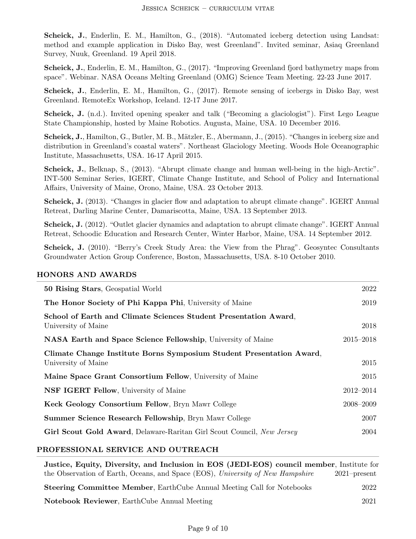Scheick, J., Enderlin, E. M., Hamilton, G., (2018). "Automated iceberg detection using Landsat: method and example application in Disko Bay, west Greenland". Invited seminar, Asiaq Greenland Survey, Nuuk, Greenland. 19 April 2018.

Scheick, J., Enderlin, E. M., Hamilton, G., (2017). "Improving Greenland fjord bathymetry maps from space". Webinar. NASA Oceans Melting Greenland (OMG) Science Team Meeting. 22-23 June 2017.

Scheick, J., Enderlin, E. M., Hamilton, G., (2017). Remote sensing of icebergs in Disko Bay, west Greenland. RemoteEx Workshop, Iceland. 12-17 June 2017.

Scheick, J. (n.d.). Invited opening speaker and talk ("Becoming a glaciologist"). First Lego League State Championship, hosted by Maine Robotics. Augusta, Maine, USA. 10 December 2016.

Scheick, J., Hamilton, G., Butler, M. B., Mätzler, E., Abermann, J., (2015). "Changes in iceberg size and distribution in Greenland's coastal waters". Northeast Glaciology Meeting. Woods Hole Oceanographic Institute, Massachusetts, USA. 16-17 April 2015.

Scheick, J., Belknap, S., (2013). "Abrupt climate change and human well-being in the high-Arctic". INT-500 Seminar Series, IGERT, Climate Change Institute, and School of Policy and International Affairs, University of Maine, Orono, Maine, USA. 23 October 2013.

Scheick, J. (2013). "Changes in glacier flow and adaptation to abrupt climate change". IGERT Annual Retreat, Darling Marine Center, Damariscotta, Maine, USA. 13 September 2013.

Scheick, J. (2012). "Outlet glacier dynamics and adaptation to abrupt climate change". IGERT Annual Retreat, Schoodic Education and Research Center, Winter Harbor, Maine, USA. 14 September 2012.

Scheick, J. (2010). "Berry's Creek Study Area: the View from the Phrag". Geosyntec Consultants Groundwater Action Group Conference, Boston, Massachusetts, USA. 8-10 October 2010.

### HONORS AND AWARDS

| <b>50 Rising Stars, Geospatial World</b>                                                    | 2022      |
|---------------------------------------------------------------------------------------------|-----------|
| The Honor Society of Phi Kappa Phi, University of Maine                                     | 2019      |
| School of Earth and Climate Sciences Student Presentation Award,<br>University of Maine     | 2018      |
| NASA Earth and Space Science Fellowship, University of Maine                                | 2015-2018 |
| Climate Change Institute Borns Symposium Student Presentation Award,<br>University of Maine | 2015      |
| Maine Space Grant Consortium Fellow, University of Maine                                    | 2015      |
| <b>NSF IGERT Fellow, University of Maine</b>                                                | 2012-2014 |
| Keck Geology Consortium Fellow, Bryn Mawr College                                           | 2008-2009 |
| Summer Science Research Fellowship, Bryn Mawr College                                       | 2007      |
| Girl Scout Gold Award, Delaware-Raritan Girl Scout Council, New Jersey                      | 2004      |
|                                                                                             |           |

#### PROFESSIONAL SERVICE AND OUTREACH

| Justice, Equity, Diversity, and Inclusion in EOS (JEDI-EOS) council member, Institute for |                 |
|-------------------------------------------------------------------------------------------|-----------------|
| the Observation of Earth, Oceans, and Space (EOS), University of New Hampshire            | $2021$ -present |
| <b>Steering Committee Member, EarthCube Annual Meeting Call for Notebooks</b>             | 2022            |
| <b>Notebook Reviewer</b> , EarthCube Annual Meeting                                       | 2021            |